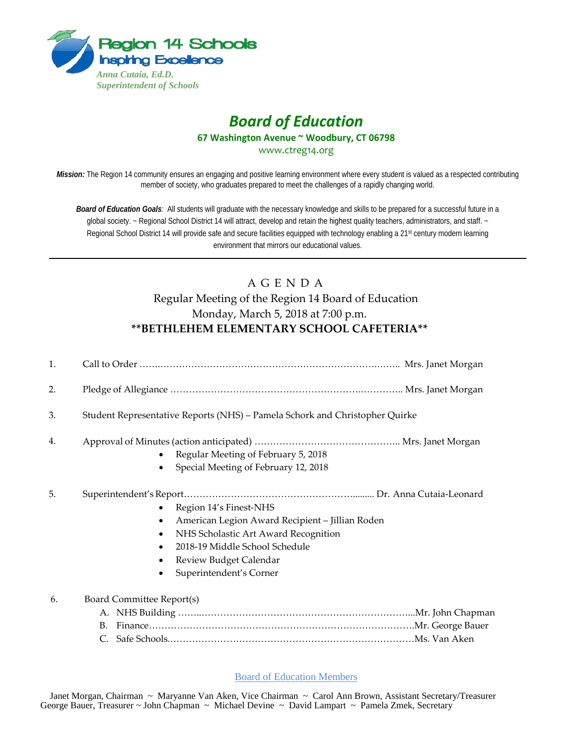

## *Board of Education* **67 Washington Avenue ~ Woodbury, CT 06798**

www.ctreg14.org

*Mission:* The Region 14 community ensures an engaging and positive learning environment where every student is valued as a respected contributing member of society, who graduates prepared to meet the challenges of a rapidly changing world.

*Board of Education Goals:* All students will graduate with the necessary knowledge and skills to be prepared for a successful future in a global society. ~ Regional School District 14 will attract, develop and retain the highest quality teachers, administrators, and staff. ~ Regional School District 14 will provide safe and secure facilities equipped with technology enabling a 21<sup>st</sup> century modern learning environment that mirrors our educational values.

## A G E N D A Regular Meeting of the Region 14 Board of Education Monday, March 5, 2018 at 7:00 p.m. **\*\*BETHLEHEM ELEMENTARY SCHOOL CAFETERIA\*\***

| 1. |                                                                                                                                                                                                                                 |
|----|---------------------------------------------------------------------------------------------------------------------------------------------------------------------------------------------------------------------------------|
| 2. |                                                                                                                                                                                                                                 |
| 3. | Student Representative Reports (NHS) - Pamela Schork and Christopher Quirke                                                                                                                                                     |
| 4. | Regular Meeting of February 5, 2018<br>Special Meeting of February 12, 2018                                                                                                                                                     |
| 5. | Region 14's Finest-NHS<br>American Legion Award Recipient - Jillian Roden<br>٠<br>NHS Scholastic Art Award Recognition<br>$\bullet$<br>2018-19 Middle School Schedule<br>Review Budget Calendar<br>٠<br>Superintendent's Corner |
| 6. | <b>Board Committee Report(s)</b><br>B.<br>$\mathsf{C}$ .                                                                                                                                                                        |

Board of Education Members